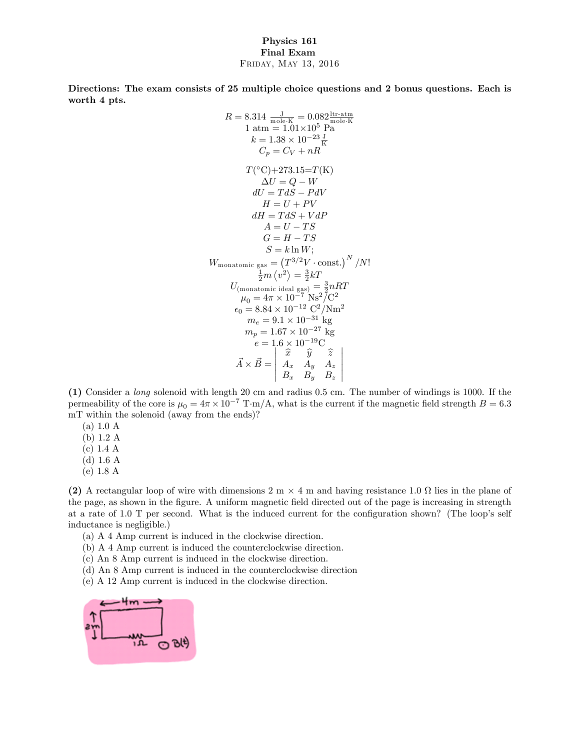## Physics 161 Final Exam Friday, May 13, 2016

Directions: The exam consists of 25 multiple choice questions and 2 bonus questions. Each is worth 4 pts.

$$
R = 8.314 \frac{J}{\text{mole-K}} = 0.082 \frac{\text{itr-atm}}{\text{nole-K}}
$$
  
\n
$$
1 \text{ atm} = 1.01 \times 10^5 \text{ Pa}
$$
  
\n
$$
k = 1.38 \times 10^{-23} \frac{J}{K}
$$
  
\n
$$
C_p = C_V + nR
$$
  
\n
$$
T(^{\circ}C) + 273.15 = T(K)
$$
  
\n
$$
\Delta U = Q - W
$$
  
\n
$$
dU = TdS - PdV
$$
  
\n
$$
H = U + PV
$$
  
\n
$$
dH = TdS + VdP
$$
  
\n
$$
A = U - TS
$$
  
\n
$$
G = H - TS
$$
  
\n
$$
S = k \ln W;
$$
  
\n
$$
W_{\text{monatomic gas}} = (T^{3/2}V \cdot \text{const.})^N / N!
$$
  
\n
$$
\frac{1}{2}m \langle v^2 \rangle = \frac{3}{2}kT
$$
  
\n
$$
U_{(\text{monatomic ideal gas})} = \frac{3}{2}nRT
$$
  
\n
$$
\mu_0 = 4\pi \times 10^{-7} \text{ Ns}^2/C^2
$$
  
\n
$$
\epsilon_0 = 8.84 \times 10^{-12} \text{ C}^2/\text{Nm}^2
$$
  
\n
$$
m_e = 9.1 \times 10^{-31} \text{ kg}
$$
  
\n
$$
m_p = 1.67 \times 10^{-27} \text{ kg}
$$
  
\n
$$
e = 1.6 \times 10^{-19} \text{ C}
$$
  
\n
$$
\vec{A} \times \vec{B} = \begin{vmatrix} \hat{x} & \hat{y} & \hat{z} \\ A_x & A_y & A_z \\ B_x & B_y & B_z \end{vmatrix}
$$

(1) Consider a long solenoid with length 20 cm and radius 0.5 cm. The number of windings is 1000. If the permeability of the core is  $\mu_0 = 4\pi \times 10^{-7} \text{ T} \cdot \text{m/A}$ , what is the current if the magnetic field strength  $B = 6.3$ mT within the solenoid (away from the ends)?

- $(a) 1.0 A$
- (b) 1:2 A
- $(c)$  1.4 A
- $(d)$  1.6 A
- (e) 1:8 A

(2) A rectangular loop of wire with dimensions  $2 \text{ m} \times 4 \text{ m}$  and having resistance  $1.0 \Omega$  lies in the plane of the page, as shown in the Ögure. A uniform magnetic Öeld directed out of the page is increasing in strength at a rate of  $1.0$  T per second. What is the induced current for the configuration shown? (The loop's self inductance is negligible.)

- (a) A 4 Amp current is induced in the clockwise direction.
- (b) A 4 Amp current is induced the counterclockwise direction.
- (c) An 8 Amp current is induced in the clockwise direction.
- (d) An 8 Amp current is induced in the counterclockwise direction
- (e) A 12 Amp current is induced in the clockwise direction.

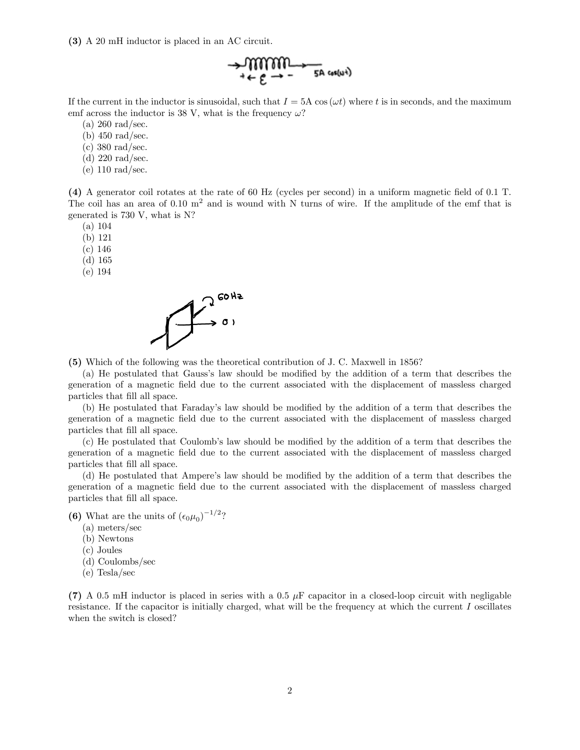(3) A 20 mH inductor is placed in an AC circuit.

$$
\rightarrow \underbrace{\text{mmm}}_{\text{+ c.g.}} \rightarrow \underbrace{\text{m}}_{\text{SA core}} \cdot \text{m}
$$

If the current in the inductor is sinusoidal, such that  $I = 5A \cos(\omega t)$  where t is in seconds, and the maximum emf across the inductor is 38 V, what is the frequency  $\omega$ ?

(a) 260 rad/sec.

(b) 450 rad/sec.

(c) 380 rad/sec.

(d) 220 rad/sec.

(e) 110 rad/sec.

(4) A generator coil rotates at the rate of 60 Hz (cycles per second) in a uniform magnetic Öeld of 0.1 T. The coil has an area of 0.10 m<sup>2</sup> and is wound with N turns of wire. If the amplitude of the emf that is generated is 730 V, what is N?

(a) 104

(b) 121

(c) 146

(d) 165

(e) 194



(5) Which of the following was the theoretical contribution of J. C. Maxwell in 1856?

(a) He postulated that Gauss's law should be modified by the addition of a term that describes the generation of a magnetic Öeld due to the current associated with the displacement of massless charged particles that fill all space.

(b) He postulated that Faraday's law should be modified by the addition of a term that describes the generation of a magnetic Öeld due to the current associated with the displacement of massless charged particles that Öll all space.

(c) He postulated that Coulomb's law should be modified by the addition of a term that describes the generation of a magnetic Öeld due to the current associated with the displacement of massless charged particles that Öll all space.

(d) He postulated that Ampere's law should be modified by the addition of a term that describes the generation of a magnetic Öeld due to the current associated with the displacement of massless charged particles that fill all space.

(6) What are the units of  $(\epsilon_0\mu_0)^{-1/2}$ ?

- (a) meters/sec
- (b) Newtons
- (c) Joules
- (d) Coulombs/sec
- (e) Tesla/sec

(7) A 0.5 mH inductor is placed in series with a 0.5  $\mu$ F capacitor in a closed-loop circuit with negligable resistance. If the capacitor is initially charged, what will be the frequency at which the current I oscillates when the switch is closed?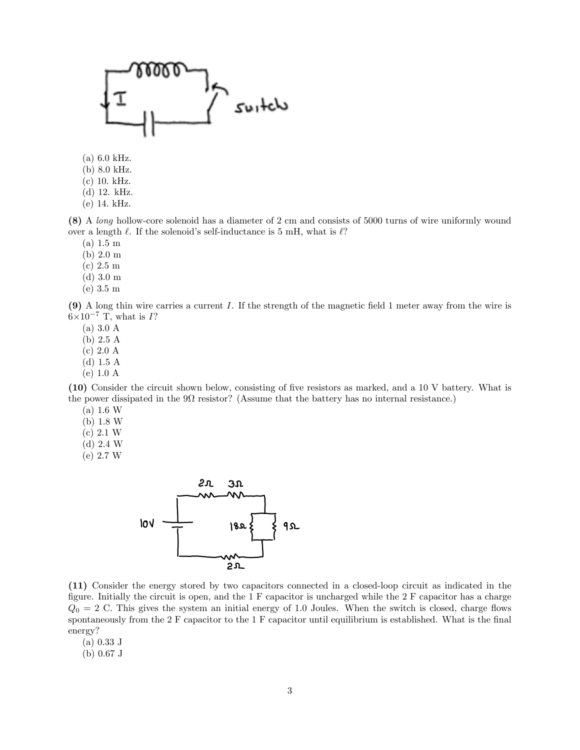

 $(a)$  6.0 kHz.

(b) 8:0 kHz.

 $(c)$  10. kHz.

(d) 12. kHz.

(e) 14: kHz.

(8) A long hollow-core solenoid has a diameter of 2 cm and consists of 5000 turns of wire uniformly wound over a length  $\ell$ . If the solenoid's self-inductance is 5 mH, what is  $\ell$ ?

 $(a) 1.5 m$ 

 $(b) 2.0 m$ 

 $(c)$  2.5 m

 $(d)$  3.0 m

 $(e)$  3.5 m

(9) A long thin wire carries a current I. If the strength of the magnetic Öeld 1 meter away from the wire is  $6\times10^{-7}$  T, what is I?

(a) 3.0 A

(b) 2.5 A

(c) 2.0 A

(d) 1.5 A

(e) 1.0 A

(10) Consider the circuit shown below, consisting of Öve resistors as marked, and a 10 V battery. What is the power dissipated in the  $9\Omega$  resistor? (Assume that the battery has no internal resistance.)

 $(a) 1.6 W$ 

 $(b)$  1.8 W

 $(c) 2.1 W$ 

 $(d)$  2.4 W

 $(e)$  2.7 W



(11) Consider the energy stored by two capacitors connected in a closed-loop circuit as indicated in the figure. Initially the circuit is open, and the  $1 \text{ F}$  capacitor is uncharged while the  $2 \text{ F}$  capacitor has a charge  $Q_0 = 2$  C. This gives the system an initial energy of 1.0 Joules. When the switch is closed, charge flows spontaneously from the 2 F capacitor to the 1 F capacitor until equilibrium is established. What is the final energy?

(a) 0.33 J

(b) 0.67 J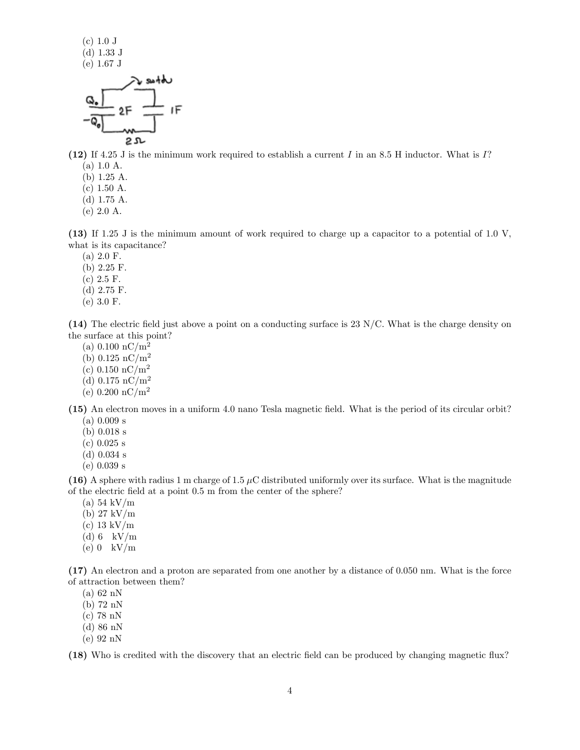(c) 1.0 J (d) 1.33 J (e) 1.67 J



(12) If 4.25 J is the minimum work required to establish a current I in an 8.5 H inductor. What is I?  $(a) 1.0 A.$ 

- 
- (b) 1:25 A.  $(c)$  1.50 A.
- (d) 1:75 A.
- (e) 2:0 A.
- 

(13) If 1.25 J is the minimum amount of work required to charge up a capacitor to a potential of 1.0 V, what is its capacitance?

- $(a) 2.0 F.$
- $(b)$  2.25 F.
- $(c)$  2.5 F.
- (d) 2:75 F.
- $(e)$  3.0 F.

(14) The electric field just above a point on a conducting surface is  $23 \text{ N/C}$ . What is the charge density on the surface at this point?

- (a)  $0.100 \text{ nC/m}^2$
- (b)  $0.125 \text{ nC/m}^2$
- (c)  $0.150 \text{ nC/m}^2$
- (d)  $0.175 \text{ nC/m}^2$
- (e)  $0.200 \text{ nC/m}^2$

(15) An electron moves in a uniform 4.0 nano Tesla magnetic Öeld. What is the period of its circular orbit? (a) 0.009 s

- (b) 0.018 s
- (c) 0.025 s
- (d) 0.034 s
- (e) 0.039 s

(16) A sphere with radius 1 m charge of 1.5  $\mu$ C distributed uniformly over its surface. What is the magnitude of the electric field at a point 0.5 m from the center of the sphere?

- (a) 54 kV/m
- (b) 27 kV/m
- (c) 13 kV/m
- (d)  $6$  kV/m
- $(e)$  0 kV/m

(17) An electron and a proton are separated from one another by a distance of 0.050 nm. What is the force of attraction between them?

- (a) 62 nN
- (b) 72 nN
- (c) 78 nN
- (d) 86 nN
- (e) 92 nN

(18) Who is credited with the discovery that an electric field can be produced by changing magnetic flux?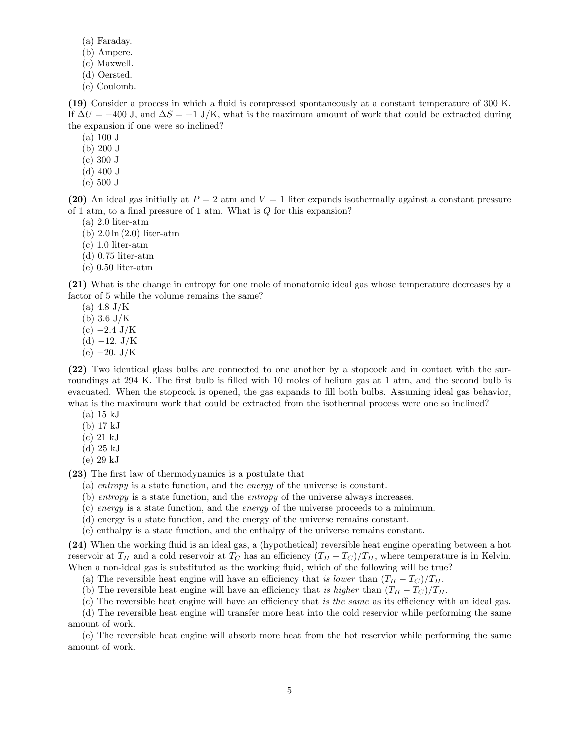- (a) Faraday.
- (b) Ampere.
- (c) Maxwell.
- (d) Oersted.
- (e) Coulomb.

(19) Consider a process in which a áuid is compressed spontaneously at a constant temperature of 300 K. If  $\Delta U = -400$  J, and  $\Delta S = -1$  J/K, what is the maximum amount of work that could be extracted during the expansion if one were so inclined?

 $(a) 100 J$ 

(b) 200 J

(c) 300 J

- (d) 400 J
- (e) 500 J

(20) An ideal gas initially at  $P = 2$  atm and  $V = 1$  liter expands isothermally against a constant pressure of 1 atm, to a final pressure of 1 atm. What is  $Q$  for this expansion?

- $(a)$  2.0 liter-atm
- (b)  $2.0 \ln(2.0)$  liter-atm
- $(c)$  1.0 liter-atm
- $(d)$  0.75 liter-atm
- $(e)$  0.50 liter-atm

(21) What is the change in entropy for one mole of monatomic ideal gas whose temperature decreases by a factor of 5 while the volume remains the same?

- $(a) 4.8 J/K$
- (b)  $3.6 \text{ J/K}$
- $(c) -2.4$  J/K
- $(d)$  -12. J/K
- $(e) -20. \text{ J/K}$

(22) Two identical glass bulbs are connected to one another by a stopcock and in contact with the surroundings at 294 K. The first bulb is filled with 10 moles of helium gas at 1 atm, and the second bulb is evacuated. When the stopcock is opened, the gas expands to fill both bulbs. Assuming ideal gas behavior, what is the maximum work that could be extracted from the isothermal process were one so inclined?

- (a) 15 kJ
- (b) 17 kJ
- (c) 21 kJ
- (d) 25 kJ
- (e) 29 kJ

(23) The first law of thermodynamics is a postulate that

- (a) entropy is a state function, and the energy of the universe is constant.
- (b) entropy is a state function, and the entropy of the universe always increases.
- (c) energy is a state function, and the energy of the universe proceeds to a minimum.
- (d) energy is a state function, and the energy of the universe remains constant.
- (e) enthalpy is a state function, and the enthalpy of the universe remains constant.

(24) When the working fluid is an ideal gas, a (hypothetical) reversible heat engine operating between a hot reservoir at  $T_H$  and a cold reservoir at  $T_C$  has an efficiency  $(T_H - T_C)/T_H$ , where temperature is in Kelvin. When a non-ideal gas is substituted as the working fluid, which of the following will be true?

(a) The reversible heat engine will have an efficiency that is lower than  $(T_H - T_C)/T_H$ .

- (b) The reversible heat engine will have an efficiency that is higher than  $(T_H T_C)/T_H$ .
- (c) The reversible heat engine will have an efficiency that is the same as its efficiency with an ideal gas.

(d) The reversible heat engine will transfer more heat into the cold reservior while performing the same amount of work.

(e) The reversible heat engine will absorb more heat from the hot reservior while performing the same amount of work.